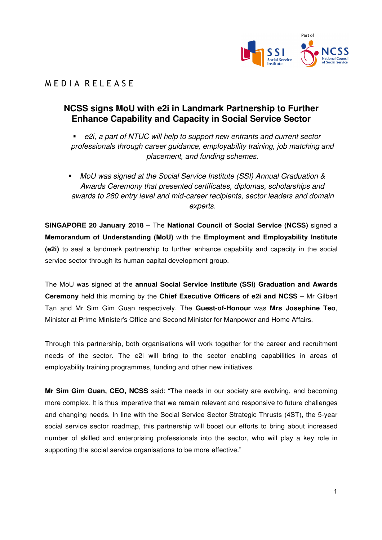

## M E D I A R E L E A S E

## **NCSS signs MoU with e2i in Landmark Partnership to Further Enhance Capability and Capacity in Social Service Sector**

- e2i, a part of NTUC will help to support new entrants and current sector professionals through career guidance, employability training, job matching and placement, and funding schemes.
- MoU was signed at the Social Service Institute (SSI) Annual Graduation & Awards Ceremony that presented certificates, diplomas, scholarships and awards to 280 entry level and mid-career recipients, sector leaders and domain experts.

**SINGAPORE 20 January 2018** – The **National Council of Social Service (NCSS)** signed a **Memorandum of Understanding (MoU)** with the **Employment and Employability Institute (e2i)** to seal a landmark partnership to further enhance capability and capacity in the social service sector through its human capital development group.

The MoU was signed at the **annual Social Service Institute (SSI) Graduation and Awards Ceremony** held this morning by the **Chief Executive Officers of e2i and NCSS** – Mr Gilbert Tan and Mr Sim Gim Guan respectively. The **Guest-of-Honour** was **Mrs Josephine Teo**, Minister at Prime Minister's Office and Second Minister for Manpower and Home Affairs.

Through this partnership, both organisations will work together for the career and recruitment needs of the sector. The e2i will bring to the sector enabling capabilities in areas of employability training programmes, funding and other new initiatives.

**Mr Sim Gim Guan, CEO, NCSS** said: "The needs in our society are evolving, and becoming more complex. It is thus imperative that we remain relevant and responsive to future challenges and changing needs. In line with the Social Service Sector Strategic Thrusts (4ST), the 5-year social service sector roadmap, this partnership will boost our efforts to bring about increased number of skilled and enterprising professionals into the sector, who will play a key role in supporting the social service organisations to be more effective."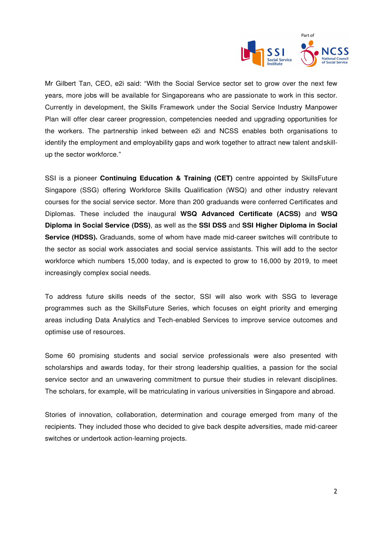

Mr Gilbert Tan, CEO, e2i said: "With the Social Service sector set to grow over the next few years, more jobs will be available for Singaporeans who are passionate to work in this sector. Currently in development, the Skills Framework under the Social Service Industry Manpower Plan will offer clear career progression, competencies needed and upgrading opportunities for the workers. The partnership inked between e2i and NCSS enables both organisations to identify the employment and employability gaps and work together to attract new talent and skillup the sector workforce."

SSI is a pioneer **Continuing Education & Training (CET)** centre appointed by SkillsFuture Singapore (SSG) offering Workforce Skills Qualification (WSQ) and other industry relevant courses for the social service sector. More than 200 graduands were conferred Certificates and Diplomas. These included the inaugural **WSQ Advanced Certificate (ACSS)** and **WSQ Diploma in Social Service (DSS)**, as well as the **SSI DSS** and **SSI Higher Diploma in Social Service (HDSS).** Graduands, some of whom have made mid-career switches will contribute to the sector as social work associates and social service assistants. This will add to the sector workforce which numbers 15,000 today, and is expected to grow to 16,000 by 2019, to meet increasingly complex social needs.

To address future skills needs of the sector, SSI will also work with SSG to leverage programmes such as the SkillsFuture Series, which focuses on eight priority and emerging areas including Data Analytics and Tech-enabled Services to improve service outcomes and optimise use of resources.

Some 60 promising students and social service professionals were also presented with scholarships and awards today, for their strong leadership qualities, a passion for the social service sector and an unwavering commitment to pursue their studies in relevant disciplines. The scholars, for example, will be matriculating in various universities in Singapore and abroad.

Stories of innovation, collaboration, determination and courage emerged from many of the recipients. They included those who decided to give back despite adversities, made mid-career switches or undertook action-learning projects.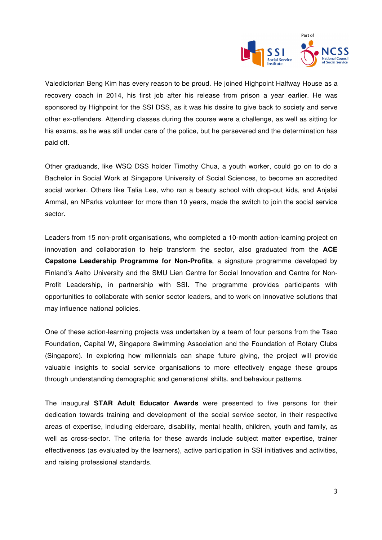

Valedictorian Beng Kim has every reason to be proud. He joined Highpoint Halfway House as a recovery coach in 2014, his first job after his release from prison a year earlier. He was sponsored by Highpoint for the SSI DSS, as it was his desire to give back to society and serve other ex-offenders. Attending classes during the course were a challenge, as well as sitting for his exams, as he was still under care of the police, but he persevered and the determination has paid off.

Other graduands, like WSQ DSS holder Timothy Chua, a youth worker, could go on to do a Bachelor in Social Work at Singapore University of Social Sciences, to become an accredited social worker. Others like Talia Lee, who ran a beauty school with drop-out kids, and Anjalai Ammal, an NParks volunteer for more than 10 years, made the switch to join the social service sector.

Leaders from 15 non-profit organisations, who completed a 10-month action-learning project on innovation and collaboration to help transform the sector, also graduated from the **ACE Capstone Leadership Programme for Non-Profits**, a signature programme developed by Finland's Aalto University and the SMU Lien Centre for Social Innovation and Centre for Non-Profit Leadership, in partnership with SSI. The programme provides participants with opportunities to collaborate with senior sector leaders, and to work on innovative solutions that may influence national policies.

One of these action-learning projects was undertaken by a team of four persons from the Tsao Foundation, Capital W, Singapore Swimming Association and the Foundation of Rotary Clubs (Singapore). In exploring how millennials can shape future giving, the project will provide valuable insights to social service organisations to more effectively engage these groups through understanding demographic and generational shifts, and behaviour patterns.

The inaugural **STAR Adult Educator Awards** were presented to five persons for their dedication towards training and development of the social service sector, in their respective areas of expertise, including eldercare, disability, mental health, children, youth and family, as well as cross-sector. The criteria for these awards include subject matter expertise, trainer effectiveness (as evaluated by the learners), active participation in SSI initiatives and activities, and raising professional standards.